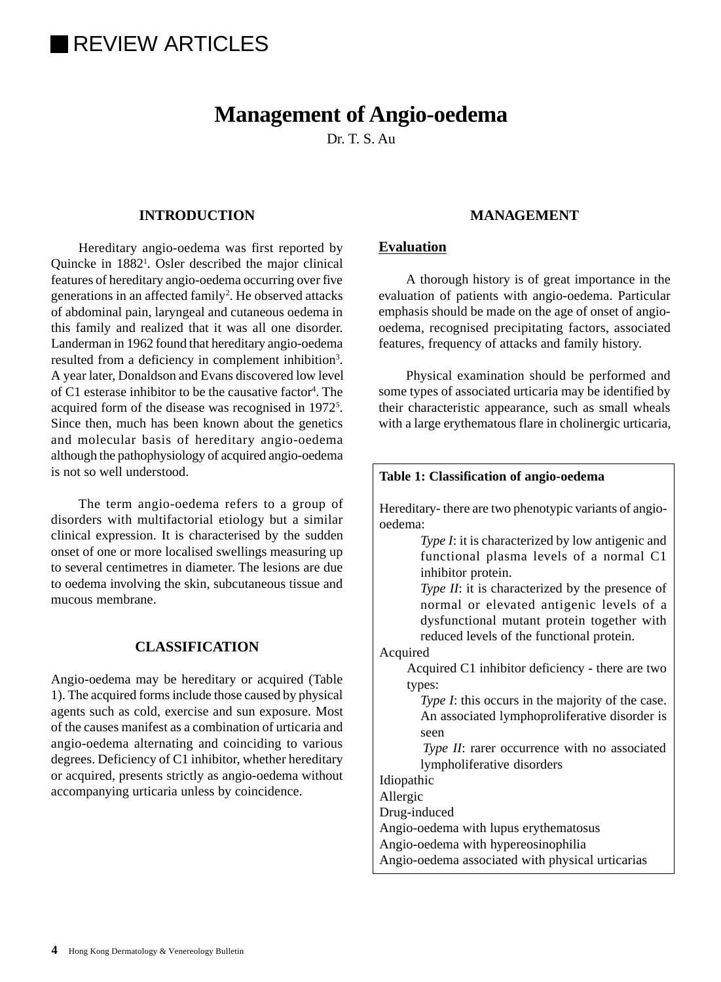# **REVIEW ARTICLES**

# **Management of Angio-oedema**

Dr. T. S. Au.

# **INTRODUCTION**

Hereditary angio-oedema was first reported by Quincke in 1882<sup>1</sup>. Osler described the major clinical features of hereditary angio-oedema occurring over five generations in an affected family<sup>2</sup>. He observed attacks of abdominal pain, laryngeal and cutaneous oedema in this family and realized that it was all one disorder. Landerman in 1962 found that hereditary angio-oedema resulted from a deficiency in complement inhibition<sup>3</sup>. A year later, Donaldson and Evans discovered low level of C1 esterase inhibitor to be the causative factor<sup>4</sup>. The acquired form of the disease was recognised in 1972<sup>5</sup>. Since then, much has been known about the genetics and molecular basis of hereditary angio-oedema although the pathophysiology of acquired angio-oedema is not so well understood.

The term angio-oedema refers to a group of disorders with multifactorial etiology but a similar clinical expression. It is characterised by the sudden onset of one or more localised swellings measuring up to several centimetres in diameter. The lesions are due to oedema involving the skin, subcutaneous tissue and mucous membrane.

## **CLASSIFICATION**

Angio-oedema may be hereditary or acquired (Table 1). The acquired forms include those caused by physical agents such as cold, exercise and sun exposure. Most of the causes manifest as a combination of urticaria and angio-oedema alternating and coinciding to various degrees. Deficiency of C1 inhibitor, whether hereditary or acquired, presents strictly as angio-oedema without accompanying urticaria unless by coincidence.

## **MANAGEMENT**

# **Evaluation**

Allergic Drug-induced

A thorough history is of great importance in the evaluation of patients with angio-oedema. Particular emphasis should be made on the age of onset of angiooedema, recognised precipitating factors, associated features, frequency of attacks and family history.

Physical examination should be performed and some types of associated urticaria may be identified by their characteristic appearance, such as small wheals with a large erythematous flare in cholinergic urticaria,

| Table 1: Classification of angio-oedema                                                                                                                                                |
|----------------------------------------------------------------------------------------------------------------------------------------------------------------------------------------|
| Hereditary-there are two phenotypic variants of angio-<br>oedema:                                                                                                                      |
| <i>Type I</i> : it is characterized by low antigenic and<br>functional plasma levels of a normal C1<br>inhibitor protein.                                                              |
| Type II: it is characterized by the presence of<br>normal or elevated antigenic levels of a<br>dysfunctional mutant protein together with<br>reduced levels of the functional protein. |
| Acquired                                                                                                                                                                               |
| Acquired C1 inhibitor deficiency - there are two                                                                                                                                       |
| types:                                                                                                                                                                                 |
| <i>Type I</i> : this occurs in the majority of the case.                                                                                                                               |
| An associated lymphoproliferative disorder is<br>seen                                                                                                                                  |
| <i>Type II:</i> rarer occurrence with no associated<br>lympholiferative disorders                                                                                                      |
| Idiopathic                                                                                                                                                                             |

Angio-oedema with lupus erythematosus Angio-oedema with hypereosinophilia

Angio-oedema associated with physical urticarias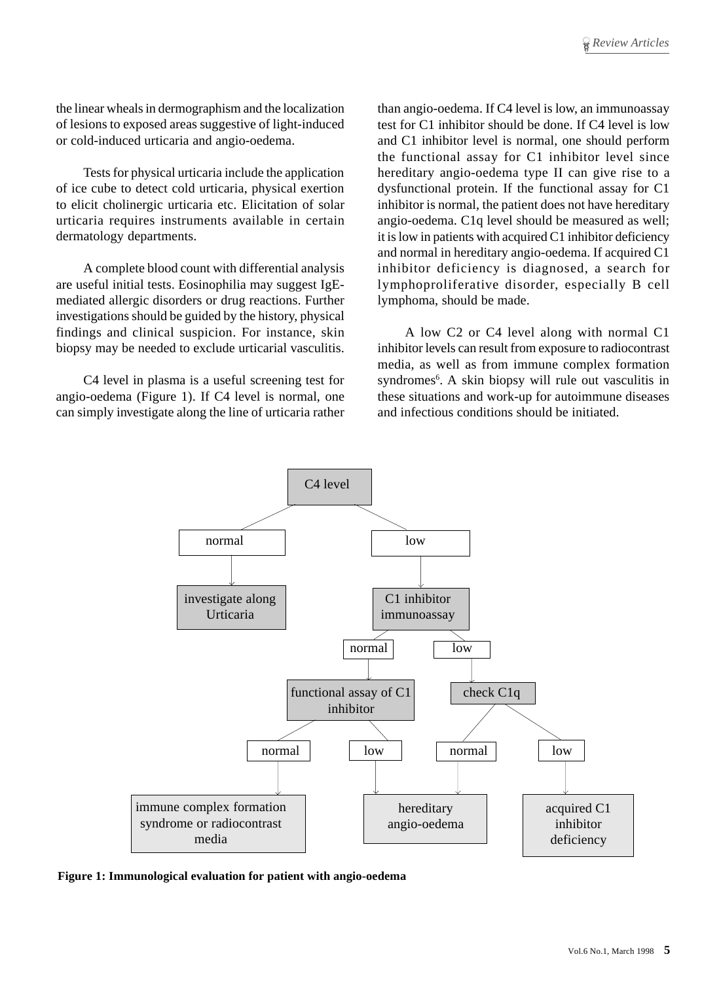the linear wheals in dermographism and the localization of lesions to exposed areas suggestive of light-induced or cold-induced urticaria and angio-oedema.

Tests for physical urticaria include the application of ice cube to detect cold urticaria, physical exertion to elicit cholinergic urticaria etc. Elicitation of solar urticaria requires instruments available in certain dermatology departments.

A complete blood count with differential analysis are useful initial tests. Eosinophilia may suggest IgEmediated allergic disorders or drug reactions. Further investigations should be guided by the history, physical findings and clinical suspicion. For instance, skin biopsy may be needed to exclude urticarial vasculitis.

C4 level in plasma is a useful screening test for angio-oedema (Figure 1). If C4 level is normal, one can simply investigate along the line of urticaria rather than angio-oedema. If C4 level is low, an immunoassay test for C1 inhibitor should be done. If C4 level is low and C1 inhibitor level is normal, one should perform the functional assay for C1 inhibitor level since hereditary angio-oedema type II can give rise to a dysfunctional protein. If the functional assay for C1 inhibitor is normal, the patient does not have hereditary angio-oedema. C1q level should be measured as well; it is low in patients with acquired C1 inhibitor deficiency and normal in hereditary angio-oedema. If acquired C1 inhibitor deficiency is diagnosed, a search for lymphoproliferative disorder, especially B cell lymphoma, should be made.

A low C2 or C4 level along with normal C1 inhibitor levels can result from exposure to radiocontrast media, as well as from immune complex formation syndromes<sup>6</sup>. A skin biopsy will rule out vasculitis in these situations and work-up for autoimmune diseases and infectious conditions should be initiated.



**Figure 1: Immunological evaluation for patient with angio-oedema**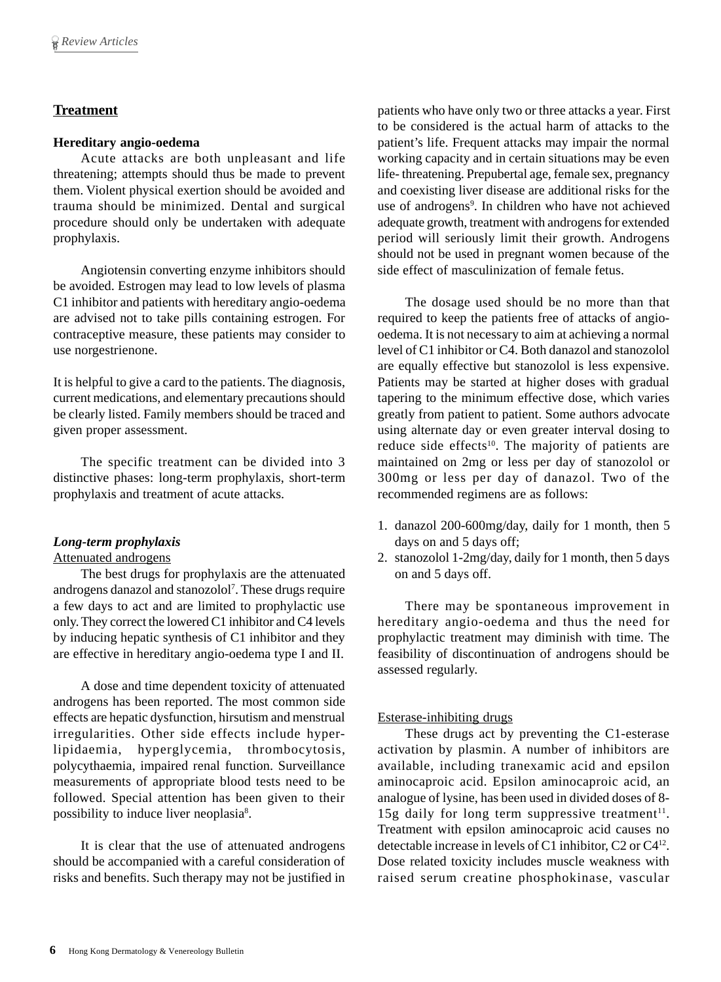# **Treatment**

## **Hereditary angio-oedema**

Acute attacks are both unpleasant and life threatening; attempts should thus be made to prevent them. Violent physical exertion should be avoided and trauma should be minimized. Dental and surgical procedure should only be undertaken with adequate prophylaxis.

Angiotensin converting enzyme inhibitors should be avoided. Estrogen may lead to low levels of plasma C1 inhibitor and patients with hereditary angio-oedema are advised not to take pills containing estrogen. For contraceptive measure, these patients may consider to use norgestrienone.

It is helpful to give a card to the patients. The diagnosis, current medications, and elementary precautions should be clearly listed. Family members should be traced and given proper assessment.

The specific treatment can be divided into 3 distinctive phases: long-term prophylaxis, short-term prophylaxis and treatment of acute attacks.

## *Long-term prophylaxis*

## Attenuated androgens

The best drugs for prophylaxis are the attenuated androgens danazol and stanozolol<sup>7</sup>. These drugs require a few days to act and are limited to prophylactic use only. They correct the lowered C1 inhibitor and C4 levels by inducing hepatic synthesis of C1 inhibitor and they are effective in hereditary angio-oedema type I and II.

A dose and time dependent toxicity of attenuated androgens has been reported. The most common side effects are hepatic dysfunction, hirsutism and menstrual irregularities. Other side effects include hyperlipidaemia, hyperglycemia, thrombocytosis, polycythaemia, impaired renal function. Surveillance measurements of appropriate blood tests need to be followed. Special attention has been given to their possibility to induce liver neoplasia<sup>8</sup>.

It is clear that the use of attenuated androgens should be accompanied with a careful consideration of risks and benefits. Such therapy may not be justified in

patients who have only two or three attacks a year. First to be considered is the actual harm of attacks to the patient's life. Frequent attacks may impair the normal working capacity and in certain situations may be even life- threatening. Prepubertal age, female sex, pregnancy and coexisting liver disease are additional risks for the use of androgens<sup>9</sup>. In children who have not achieved adequate growth, treatment with androgens for extended period will seriously limit their growth. Androgens should not be used in pregnant women because of the side effect of masculinization of female fetus.

The dosage used should be no more than that required to keep the patients free of attacks of angiooedema. It is not necessary to aim at achieving a normal level of C1 inhibitor or C4. Both danazol and stanozolol are equally effective but stanozolol is less expensive. Patients may be started at higher doses with gradual tapering to the minimum effective dose, which varies greatly from patient to patient. Some authors advocate using alternate day or even greater interval dosing to reduce side effects<sup>10</sup>. The majority of patients are maintained on 2mg or less per day of stanozolol or 300mg or less per day of danazol. Two of the recommended regimens are as follows:

- 1. danazol 200-600mg/day, daily for 1 month, then 5 days on and 5 days off;
- 2. stanozolol 1-2mg/day, daily for 1 month, then 5 days on and 5 days off.

There may be spontaneous improvement in hereditary angio-oedema and thus the need for prophylactic treatment may diminish with time. The feasibility of discontinuation of androgens should be assessed regularly.

## Esterase-inhibiting drugs

These drugs act by preventing the C1-esterase activation by plasmin. A number of inhibitors are available, including tranexamic acid and epsilon aminocaproic acid. Epsilon aminocaproic acid, an analogue of lysine, has been used in divided doses of 8- 15g daily for long term suppressive treatment<sup>11</sup>. Treatment with epsilon aminocaproic acid causes no detectable increase in levels of C1 inhibitor, C2 or C412. Dose related toxicity includes muscle weakness with raised serum creatine phosphokinase, vascular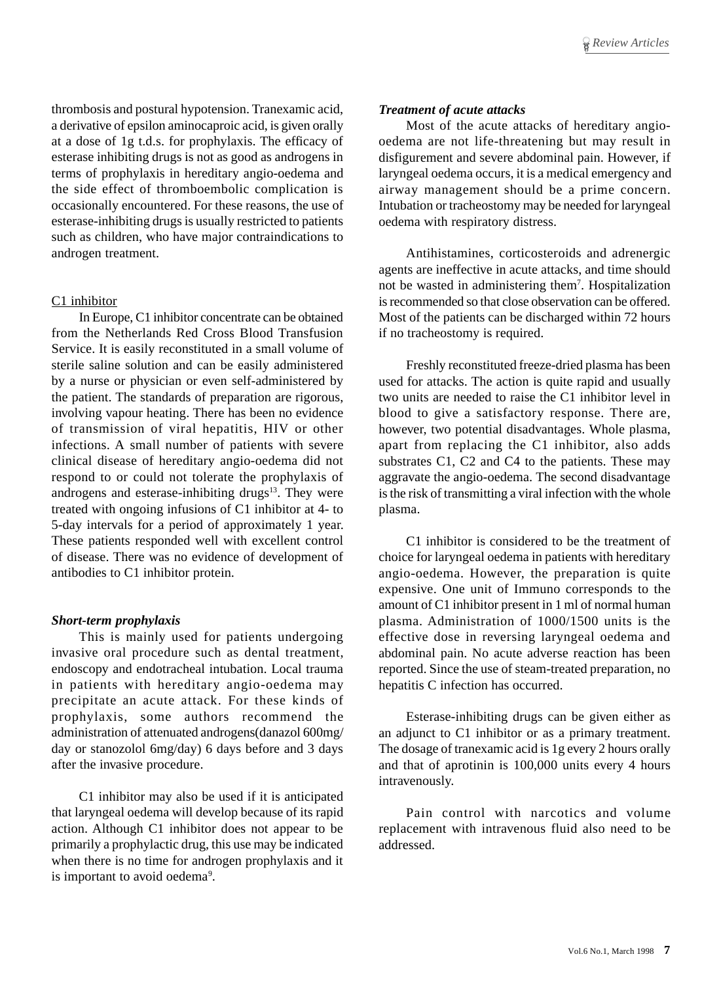thrombosis and postural hypotension. Tranexamic acid, a derivative of epsilon aminocaproic acid, is given orally at a dose of 1g t.d.s. for prophylaxis. The efficacy of esterase inhibiting drugs is not as good as androgens in terms of prophylaxis in hereditary angio-oedema and the side effect of thromboembolic complication is occasionally encountered. For these reasons, the use of esterase-inhibiting drugs is usually restricted to patients such as children, who have major contraindications to androgen treatment.

## C1 inhibitor

In Europe, C1 inhibitor concentrate can be obtained from the Netherlands Red Cross Blood Transfusion Service. It is easily reconstituted in a small volume of sterile saline solution and can be easily administered by a nurse or physician or even self-administered by the patient. The standards of preparation are rigorous, involving vapour heating. There has been no evidence of transmission of viral hepatitis, HIV or other infections. A small number of patients with severe clinical disease of hereditary angio-oedema did not respond to or could not tolerate the prophylaxis of androgens and esterase-inhibiting drugs<sup>13</sup>. They were treated with ongoing infusions of C1 inhibitor at 4- to 5-day intervals for a period of approximately 1 year. These patients responded well with excellent control of disease. There was no evidence of development of antibodies to C1 inhibitor protein.

#### *Short-term prophylaxis*

This is mainly used for patients undergoing invasive oral procedure such as dental treatment, endoscopy and endotracheal intubation. Local trauma in patients with hereditary angio-oedema may precipitate an acute attack. For these kinds of prophylaxis, some authors recommend the administration of attenuated androgens(danazol 600mg/ day or stanozolol 6mg/day) 6 days before and 3 days after the invasive procedure.

C1 inhibitor may also be used if it is anticipated that laryngeal oedema will develop because of its rapid action. Although C1 inhibitor does not appear to be primarily a prophylactic drug, this use may be indicated when there is no time for androgen prophylaxis and it is important to avoid oedema<sup>9</sup>.

## *Treatment of acute attacks*

Most of the acute attacks of hereditary angiooedema are not life-threatening but may result in disfigurement and severe abdominal pain. However, if laryngeal oedema occurs, it is a medical emergency and airway management should be a prime concern. Intubation or tracheostomy may be needed for laryngeal oedema with respiratory distress.

Antihistamines, corticosteroids and adrenergic agents are ineffective in acute attacks, and time should not be wasted in administering them7 . Hospitalization is recommended so that close observation can be offered. Most of the patients can be discharged within 72 hours if no tracheostomy is required.

Freshly reconstituted freeze-dried plasma has been used for attacks. The action is quite rapid and usually two units are needed to raise the C1 inhibitor level in blood to give a satisfactory response. There are, however, two potential disadvantages. Whole plasma, apart from replacing the C1 inhibitor, also adds substrates C1, C2 and C4 to the patients. These may aggravate the angio-oedema. The second disadvantage is the risk of transmitting a viral infection with the whole plasma.

C1 inhibitor is considered to be the treatment of choice for laryngeal oedema in patients with hereditary angio-oedema. However, the preparation is quite expensive. One unit of Immuno corresponds to the amount of C1 inhibitor present in 1 ml of normal human plasma. Administration of 1000/1500 units is the effective dose in reversing laryngeal oedema and abdominal pain. No acute adverse reaction has been reported. Since the use of steam-treated preparation, no hepatitis C infection has occurred.

Esterase-inhibiting drugs can be given either as an adjunct to C1 inhibitor or as a primary treatment. The dosage of tranexamic acid is 1g every 2 hours orally and that of aprotinin is 100,000 units every 4 hours intravenously.

Pain control with narcotics and volume replacement with intravenous fluid also need to be addressed.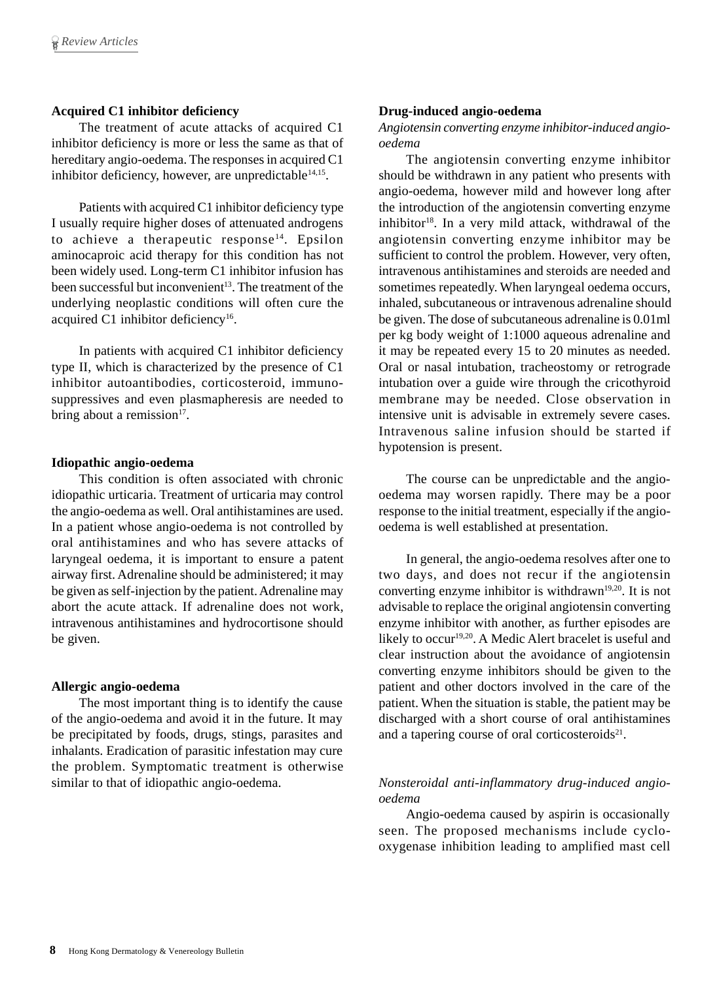## **Acquired C1 inhibitor deficiency**

The treatment of acute attacks of acquired C1 inhibitor deficiency is more or less the same as that of hereditary angio-oedema. The responses in acquired C1 inhibitor deficiency, however, are unpredictable  $14,15$ .

Patients with acquired C1 inhibitor deficiency type I usually require higher doses of attenuated androgens to achieve a therapeutic response<sup>14</sup>. Epsilon aminocaproic acid therapy for this condition has not been widely used. Long-term C1 inhibitor infusion has been successful but inconvenient<sup>13</sup>. The treatment of the underlying neoplastic conditions will often cure the acquired C1 inhibitor deficiency<sup>16</sup>.

In patients with acquired C1 inhibitor deficiency type II, which is characterized by the presence of C1 inhibitor autoantibodies, corticosteroid, immunosuppressives and even plasmapheresis are needed to bring about a remission $17$ .

## **Idiopathic angio-oedema**

This condition is often associated with chronic idiopathic urticaria. Treatment of urticaria may control the angio-oedema as well. Oral antihistamines are used. In a patient whose angio-oedema is not controlled by oral antihistamines and who has severe attacks of laryngeal oedema, it is important to ensure a patent airway first. Adrenaline should be administered; it may be given as self-injection by the patient. Adrenaline may abort the acute attack. If adrenaline does not work, intravenous antihistamines and hydrocortisone should be given.

#### **Allergic angio-oedema**

The most important thing is to identify the cause of the angio-oedema and avoid it in the future. It may be precipitated by foods, drugs, stings, parasites and inhalants. Eradication of parasitic infestation may cure the problem. Symptomatic treatment is otherwise similar to that of idiopathic angio-oedema.

## **Drug-induced angio-oedema**

*Angiotensin converting enzyme inhibitor-induced angiooedema*

The angiotensin converting enzyme inhibitor should be withdrawn in any patient who presents with angio-oedema, however mild and however long after the introduction of the angiotensin converting enzyme inhibitor<sup>18</sup>. In a very mild attack, withdrawal of the angiotensin converting enzyme inhibitor may be sufficient to control the problem. However, very often, intravenous antihistamines and steroids are needed and sometimes repeatedly. When laryngeal oedema occurs, inhaled, subcutaneous or intravenous adrenaline should be given. The dose of subcutaneous adrenaline is 0.01ml per kg body weight of 1:1000 aqueous adrenaline and it may be repeated every 15 to 20 minutes as needed. Oral or nasal intubation, tracheostomy or retrograde intubation over a guide wire through the cricothyroid membrane may be needed. Close observation in intensive unit is advisable in extremely severe cases. Intravenous saline infusion should be started if hypotension is present.

The course can be unpredictable and the angiooedema may worsen rapidly. There may be a poor response to the initial treatment, especially if the angiooedema is well established at presentation.

In general, the angio-oedema resolves after one to two days, and does not recur if the angiotensin converting enzyme inhibitor is withdrawn<sup>19,20</sup>. It is not advisable to replace the original angiotensin converting enzyme inhibitor with another, as further episodes are likely to occur<sup>19,20</sup>. A Medic Alert bracelet is useful and clear instruction about the avoidance of angiotensin converting enzyme inhibitors should be given to the patient and other doctors involved in the care of the patient. When the situation is stable, the patient may be discharged with a short course of oral antihistamines and a tapering course of oral corticosteroids $21$ .

## *Nonsteroidal anti-inflammatory drug-induced angiooedema*

Angio-oedema caused by aspirin is occasionally seen. The proposed mechanisms include cyclooxygenase inhibition leading to amplified mast cell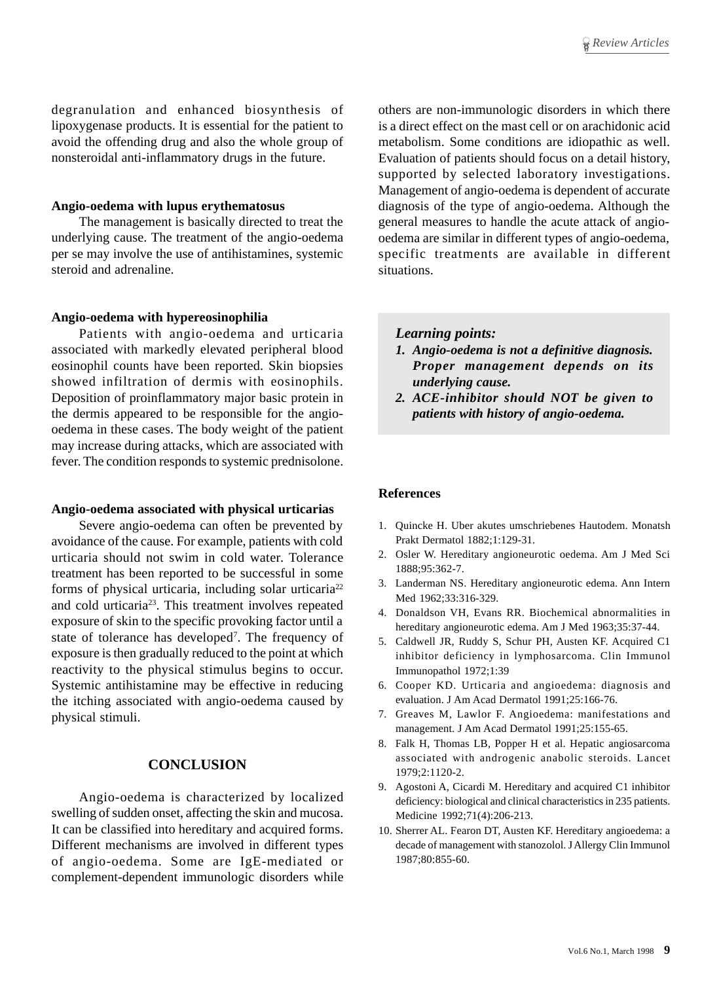degranulation and enhanced biosynthesis of lipoxygenase products. It is essential for the patient to avoid the offending drug and also the whole group of nonsteroidal anti-inflammatory drugs in the future.

#### **Angio-oedema with lupus erythematosus**

The management is basically directed to treat the underlying cause. The treatment of the angio-oedema per se may involve the use of antihistamines, systemic steroid and adrenaline.

#### **Angio-oedema with hypereosinophilia**

Patients with angio-oedema and urticaria associated with markedly elevated peripheral blood eosinophil counts have been reported. Skin biopsies showed infiltration of dermis with eosinophils. Deposition of proinflammatory major basic protein in the dermis appeared to be responsible for the angiooedema in these cases. The body weight of the patient may increase during attacks, which are associated with fever. The condition responds to systemic prednisolone.

#### **Angio-oedema associated with physical urticarias**

Severe angio-oedema can often be prevented by avoidance of the cause. For example, patients with cold urticaria should not swim in cold water. Tolerance treatment has been reported to be successful in some forms of physical urticaria, including solar urticaria<sup>22</sup> and cold urticaria23. This treatment involves repeated exposure of skin to the specific provoking factor until a state of tolerance has developed<sup>7</sup>. The frequency of exposure is then gradually reduced to the point at which reactivity to the physical stimulus begins to occur. Systemic antihistamine may be effective in reducing the itching associated with angio-oedema caused by physical stimuli.

# **CONCLUSION**

Angio-oedema is characterized by localized swelling of sudden onset, affecting the skin and mucosa. It can be classified into hereditary and acquired forms. Different mechanisms are involved in different types of angio-oedema. Some are IgE-mediated or complement-dependent immunologic disorders while others are non-immunologic disorders in which there is a direct effect on the mast cell or on arachidonic acid metabolism. Some conditions are idiopathic as well. Evaluation of patients should focus on a detail history, supported by selected laboratory investigations. Management of angio-oedema is dependent of accurate diagnosis of the type of angio-oedema. Although the general measures to handle the acute attack of angiooedema are similar in different types of angio-oedema, specific treatments are available in different situations.

## *Learning points:*

- *1. Angio-oedema is not a definitive diagnosis. Proper management depends on its underlying cause.*
- *2. ACE-inhibitor should NOT be given to patients with history of angio-oedema.*

#### **References**

- 1. Quincke H. Uber akutes umschriebenes Hautodem. Monatsh Prakt Dermatol 1882;1:129-31.
- 2. Osler W. Hereditary angioneurotic oedema. Am J Med Sci 1888;95:362-7.
- 3. Landerman NS. Hereditary angioneurotic edema. Ann Intern Med 1962;33:316-329.
- 4. Donaldson VH, Evans RR. Biochemical abnormalities in hereditary angioneurotic edema. Am J Med 1963;35:37-44.
- 5. Caldwell JR, Ruddy S, Schur PH, Austen KF. Acquired C1 inhibitor deficiency in lymphosarcoma. Clin Immunol Immunopathol 1972;1:39
- 6. Cooper KD. Urticaria and angioedema: diagnosis and evaluation. J Am Acad Dermatol 1991;25:166-76.
- 7. Greaves M, Lawlor F. Angioedema: manifestations and management. J Am Acad Dermatol 1991;25:155-65.
- 8. Falk H, Thomas LB, Popper H et al. Hepatic angiosarcoma associated with androgenic anabolic steroids. Lancet 1979;2:1120-2.
- 9. Agostoni A, Cicardi M. Hereditary and acquired C1 inhibitor deficiency: biological and clinical characteristics in 235 patients. Medicine 1992;71(4):206-213.
- 10. Sherrer AL. Fearon DT, Austen KF. Hereditary angioedema: a decade of management with stanozolol. J Allergy Clin Immunol 1987;80:855-60.